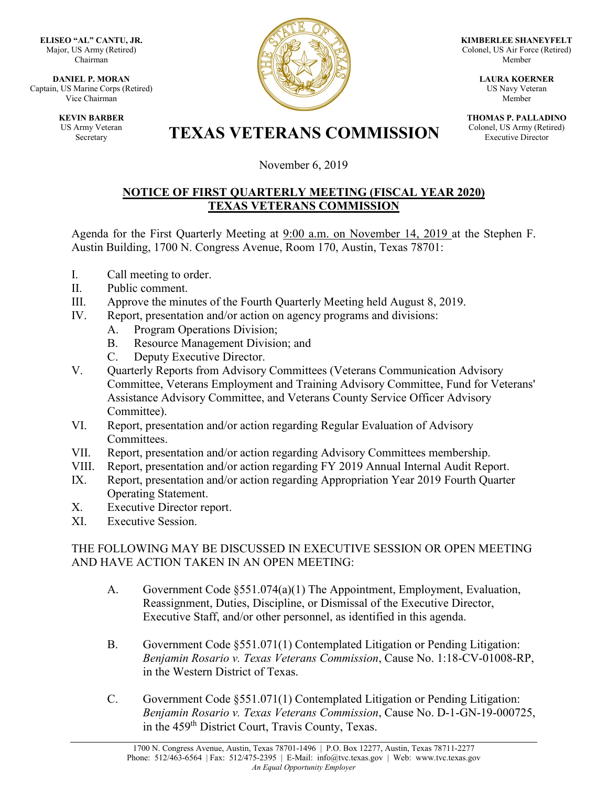**ELISEO "AL" CANTU, JR.** Major, US Army (Retired) Chairman

**DANIEL P. MORAN** Captain, US Marine Corps (Retired) Vice Chairman

> **KEVIN BARBER** US Army Veteran



**KIMBERLEE SHANEYFELT** Colonel, US Air Force (Retired) Member

> **LAURA KOERNER** US Navy Veteran Member

**THOMAS P. PALLADINO** Colonel, US Army (Retired) Executive Director

## **TEXAS VETERANS COMMISSION**

November 6, 2019

## **NOTICE OF FIRST QUARTERLY MEETING (FISCAL YEAR 2020) TEXAS VETERANS COMMISSION**

Agenda for the First Quarterly Meeting at 9:00 a.m. on November 14, 2019 at the Stephen F. Austin Building, 1700 N. Congress Avenue, Room 170, Austin, Texas 78701:

- I. Call meeting to order.
- II. Public comment.
- III. Approve the minutes of the Fourth Quarterly Meeting held August 8, 2019.
- IV. Report, presentation and/or action on agency programs and divisions:
	- A. Program Operations Division;
	- B. Resource Management Division; and
	- C. Deputy Executive Director.
- V. Quarterly Reports from Advisory Committees (Veterans Communication Advisory Committee, Veterans Employment and Training Advisory Committee, Fund for Veterans' Assistance Advisory Committee, and Veterans County Service Officer Advisory Committee).
- VI. Report, presentation and/or action regarding Regular Evaluation of Advisory Committees.
- VII. Report, presentation and/or action regarding Advisory Committees membership.
- VIII. Report, presentation and/or action regarding FY 2019 Annual Internal Audit Report.
- IX. Report, presentation and/or action regarding Appropriation Year 2019 Fourth Quarter Operating Statement.
- X. Executive Director report.
- XI. Executive Session.

## THE FOLLOWING MAY BE DISCUSSED IN EXECUTIVE SESSION OR OPEN MEETING AND HAVE ACTION TAKEN IN AN OPEN MEETING:

- A. Government Code §551.074(a)(1) The Appointment, Employment, Evaluation, Reassignment, Duties, Discipline, or Dismissal of the Executive Director, Executive Staff, and/or other personnel, as identified in this agenda.
- B. Government Code §551.071(1) Contemplated Litigation or Pending Litigation: *Benjamin Rosario v. Texas Veterans Commission*, Cause No. 1:18-CV-01008-RP, in the Western District of Texas.
- C. Government Code §551.071(1) Contemplated Litigation or Pending Litigation: *Benjamin Rosario v. Texas Veterans Commission*, Cause No. D-1-GN-19-000725, in the 459<sup>th</sup> District Court, Travis County, Texas.